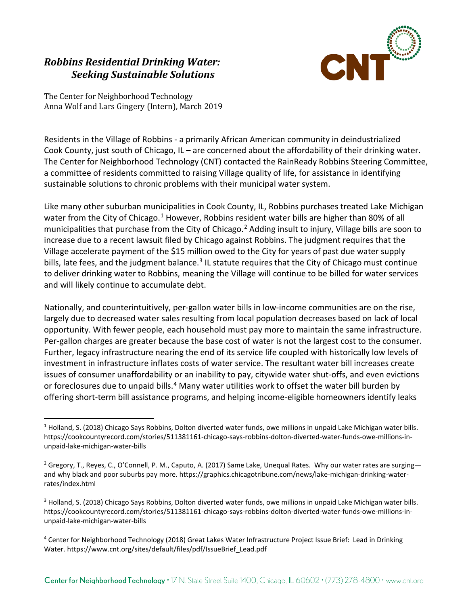# *Robbins Residential Drinking Water: Seeking Sustainable Solutions*



The Center for Neighborhood Technology Anna Wolf and Lars Gingery (Intern), March 2019

 $\overline{a}$ 

Residents in the Village of Robbins - a primarily African American community in deindustrialized Cook County, just south of Chicago, IL – are concerned about the affordability of their drinking water. The Center for Neighborhood Technology (CNT) contacted the RainReady Robbins Steering Committee, a committee of residents committed to raising Village quality of life, for assistance in identifying sustainable solutions to chronic problems with their municipal water system.

Like many other suburban municipalities in Cook County, IL, Robbins purchases treated Lake Michigan water from the City of Chicago.<sup>[1](#page-0-0)</sup> However, Robbins resident water bills are higher than 80% of all municipalities that purchase from the City of Chicago.<sup>[2](#page-0-1)</sup> Adding insult to injury, Village bills are soon to increase due to a recent lawsuit filed by Chicago against Robbins. The judgment requires that the Village accelerate payment of the \$15 million owed to the City for years of past due water supply bills, late fees, and the judgment balance.<sup>[3](#page-0-2)</sup> IL statute requires that the City of Chicago must continue to deliver drinking water to Robbins, meaning the Village will continue to be billed for water services and will likely continue to accumulate debt.

Nationally, and counterintuitively, per-gallon water bills in low-income communities are on the rise, largely due to decreased water sales resulting from local population decreases based on lack of local opportunity. With fewer people, each household must pay more to maintain the same infrastructure. Per-gallon charges are greater because the base cost of water is not the largest cost to the consumer. Further, legacy infrastructure nearing the end of its service life coupled with historically low levels of investment in infrastructure inflates costs of water service. The resultant water bill increases create issues of consumer unaffordability or an inability to pay, citywide water shut-offs, and even evictions or foreclosures due to unpaid bills.<sup>[4](#page-0-3)</sup> Many water utilities work to offset the water bill burden by offering short-term bill assistance programs, and helping income-eligible homeowners identify leaks

<span id="page-0-2"></span><sup>3</sup> Holland, S. (2018) Chicago Says Robbins, Dolton diverted water funds, owe millions in unpaid Lake Michigan water bills. https://cookcountyrecord.com/stories/511381161-chicago-says-robbins-dolton-diverted-water-funds-owe-millions-inunpaid-lake-michigan-water-bills

<span id="page-0-0"></span> $1$  Holland, S. (2018) Chicago Says Robbins, Dolton diverted water funds, owe millions in unpaid Lake Michigan water bills. https://cookcountyrecord.com/stories/511381161-chicago-says-robbins-dolton-diverted-water-funds-owe-millions-inunpaid-lake-michigan-water-bills

<span id="page-0-1"></span><sup>&</sup>lt;sup>2</sup> Gregory, T., Reyes, C., O'Connell, P. M., Caputo, A. (2017) Same Lake, Unequal Rates. Why our water rates are surgingand why black and poor suburbs pay more. https://graphics.chicagotribune.com/news/lake-michigan-drinking-waterrates/index.html

<span id="page-0-3"></span><sup>4</sup> Center for Neighborhood Technology (2018) Great Lakes Water Infrastructure Project Issue Brief: Lead in Drinking Water. https://www.cnt.org/sites/default/files/pdf/IssueBrief\_Lead.pdf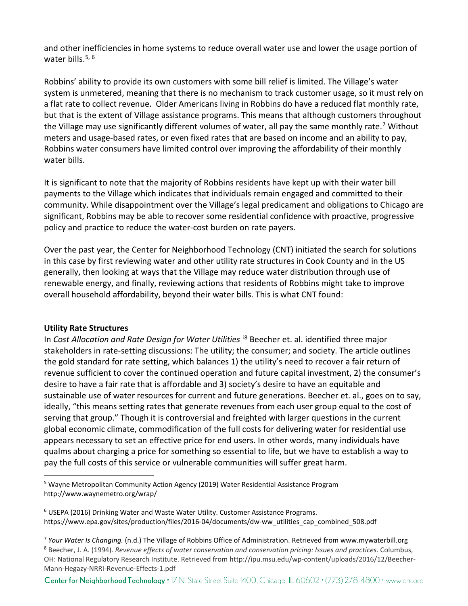and other inefficiencies in home systems to reduce overall water use and lower the usage portion of water bills. $5, 6$  $5, 6$  $5, 6$ 

Robbins' ability to provide its own customers with some bill relief is limited. The Village's water system is unmetered, meaning that there is no mechanism to track customer usage, so it must rely on a flat rate to collect revenue. Older Americans living in Robbins do have a reduced flat monthly rate, but that is the extent of Village assistance programs. This means that although customers throughout the Village may use significantly different volumes of water, all pay the same monthly rate.<sup>[7](#page-1-2)</sup> Without meters and usage-based rates, or even fixed rates that are based on income and an ability to pay, Robbins water consumers have limited control over improving the affordability of their monthly water bills.

It is significant to note that the majority of Robbins residents have kept up with their water bill payments to the Village which indicates that individuals remain engaged and committed to their community. While disappointment over the Village's legal predicament and obligations to Chicago are significant, Robbins may be able to recover some residential confidence with proactive, progressive policy and practice to reduce the water-cost burden on rate payers.

Over the past year, the Center for Neighborhood Technology (CNT) initiated the search for solutions in this case by first reviewing water and other utility rate structures in Cook County and in the US generally, then looking at ways that the Village may reduce water distribution through use of renewable energy, and finally, reviewing actions that residents of Robbins might take to improve overall household affordability, beyond their water bills. This is what CNT found:

### **Utility Rate Structures**

 $\overline{a}$ 

In *Cost Allocation and Rate Design for Water Utilities* i[8](#page-1-3) Beecher et. al. identified three major stakeholders in rate-setting discussions: The utility; the consumer; and society. The article outlines the gold standard for rate setting, which balances 1) the utility's need to recover a fair return of revenue sufficient to cover the continued operation and future capital investment, 2) the consumer's desire to have a fair rate that is affordable and 3) society's desire to have an equitable and sustainable use of water resources for current and future generations. Beecher et. al., goes on to say, ideally, "this means setting rates that generate revenues from each user group equal to the cost of serving that group." Though it is controversial and freighted with larger questions in the current global economic climate, commodification of the full costs for delivering water for residential use appears necessary to set an effective price for end users. In other words, many individuals have qualms about charging a price for something so essential to life, but we have to establish a way to pay the full costs of this service or vulnerable communities will suffer great harm.

<span id="page-1-0"></span><sup>5</sup> Wayne Metropolitan Community Action Agency (2019) Water Residential Assistance Program http://www.waynemetro.org/wrap/

Center for Neighborhood Technology . 17 N. State Street Suite 1400, Chicago, IL 60602 . (773) 278-4800 · www.cnt.org

<span id="page-1-1"></span> $6$  USEPA (2016) Drinking Water and Waste Water Utility. Customer Assistance Programs. https://www.epa.gov/sites/production/files/2016-04/documents/dw-ww\_utilities\_cap\_combined\_508.pdf

<span id="page-1-2"></span><sup>7</sup> *Your Water Is Changing.* (n.d.) The Village of Robbins Office of Administration. Retrieved from www.mywaterbill.org

<span id="page-1-3"></span><sup>8</sup> Beecher, J. A. (1994). *Revenue effects of water conservation and conservation pricing: Issues and practices*. Columbus, OH: National Regulatory Research Institute. Retrieved from http://ipu.msu.edu/wp-content/uploads/2016/12/Beecher-Mann-Hegazy-NRRI-Revenue-Effects-1.pdf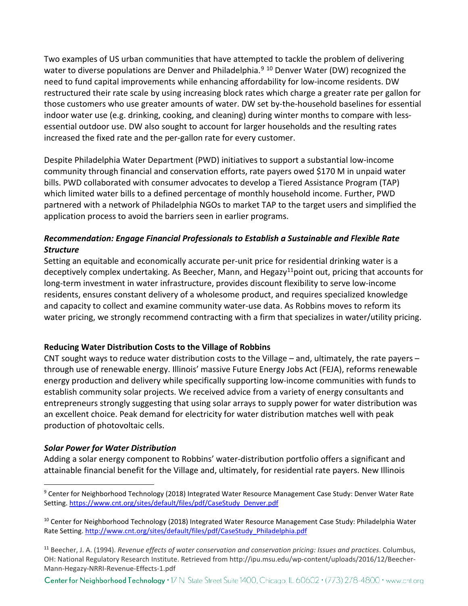Two examples of US urban communities that have attempted to tackle the problem of delivering water to diverse populations are Denver and Philadelphia.<sup>[9](#page-2-0) [10](#page-2-1)</sup> Denver Water (DW) recognized the need to fund capital improvements while enhancing affordability for low-income residents. DW restructured their rate scale by using increasing block rates which charge a greater rate per gallon for those customers who use greater amounts of water. DW set by-the-household baselines for essential indoor water use (e.g. drinking, cooking, and cleaning) during winter months to compare with lessessential outdoor use. DW also sought to account for larger households and the resulting rates increased the fixed rate and the per-gallon rate for every customer.

Despite Philadelphia Water Department (PWD) initiatives to support a substantial low-income community through financial and conservation efforts, rate payers owed \$170 M in unpaid water bills. PWD collaborated with consumer advocates to develop a Tiered Assistance Program (TAP) which limited water bills to a defined percentage of monthly household income. Further, PWD partnered with a network of Philadelphia NGOs to market TAP to the target users and simplified the application process to avoid the barriers seen in earlier programs.

# *Recommendation: Engage Financial Professionals to Establish a Sustainable and Flexible Rate Structure*

Setting an equitable and economically accurate per-unit price for residential drinking water is a deceptively complex undertaking. As Beecher, Mann, and Hegazy<sup>[11](#page-2-2)</sup>point out, pricing that accounts for long-term investment in water infrastructure, provides discount flexibility to serve low-income residents, ensures constant delivery of a wholesome product, and requires specialized knowledge and capacity to collect and examine community water-use data. As Robbins moves to reform its water pricing, we strongly recommend contracting with a firm that specializes in water/utility pricing.

# **Reducing Water Distribution Costs to the Village of Robbins**

CNT sought ways to reduce water distribution costs to the Village – and, ultimately, the rate payers – through use of renewable energy. Illinois' massive Future Energy Jobs Act (FEJA), reforms renewable energy production and delivery while specifically supporting low-income communities with funds to establish community solar projects. We received advice from a variety of energy consultants and entrepreneurs strongly suggesting that using solar arrays to supply power for water distribution was an excellent choice. Peak demand for electricity for water distribution matches well with peak production of photovoltaic cells.

# *Solar Power for Water Distribution*

Adding a solar energy component to Robbins' water-distribution portfolio offers a significant and attainable financial benefit for the Village and, ultimately, for residential rate payers. New Illinois

Center for Neighborhood Technology . 17 N. State Street Suite 1400, Chicago, IL 60602 . (773) 278-4800 · www.cnt.org

<span id="page-2-0"></span> $\overline{a}$ <sup>9</sup> Center for Neighborhood Technology (2018) Integrated Water Resource Management Case Study: Denver Water Rate Setting. [https://www.cnt.org/sites/default/files/pdf/CaseStudy\\_Denver.pdf](https://www.cnt.org/sites/default/files/pdf/CaseStudy_Denver.pdf)

<span id="page-2-1"></span><sup>&</sup>lt;sup>10</sup> Center for Neighborhood Technology (2018) Integrated Water Resource Management Case Study: Philadelphia Water Rate Setting[. http://www.cnt.org/sites/default/files/pdf/CaseStudy\\_Philadelphia.pdf](http://www.cnt.org/sites/default/files/pdf/CaseStudy_Philadelphia.pdf)

<span id="page-2-2"></span><sup>11</sup> Beecher, J. A. (1994). *Revenue effects of water conservation and conservation pricing: Issues and practices*. Columbus, OH: National Regulatory Research Institute. Retrieved from http://ipu.msu.edu/wp-content/uploads/2016/12/Beecher-Mann-Hegazy-NRRI-Revenue-Effects-1.pdf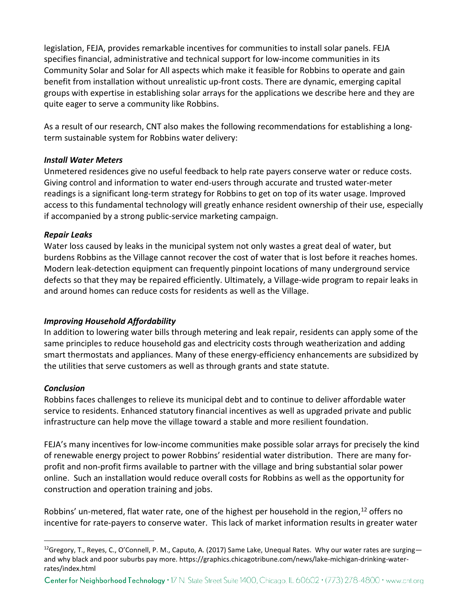legislation, FEJA, provides remarkable incentives for communities to install solar panels. FEJA specifies financial, administrative and technical support for low-income communities in its Community Solar and Solar for All aspects which make it feasible for Robbins to operate and gain benefit from installation without unrealistic up-front costs. There are dynamic, emerging capital groups with expertise in establishing solar arrays for the applications we describe here and they are quite eager to serve a community like Robbins.

As a result of our research, CNT also makes the following recommendations for establishing a longterm sustainable system for Robbins water delivery:

# *Install Water Meters*

Unmetered residences give no useful feedback to help rate payers conserve water or reduce costs. Giving control and information to water end-users through accurate and trusted water-meter readings is a significant long-term strategy for Robbins to get on top of its water usage. Improved access to this fundamental technology will greatly enhance resident ownership of their use, especially if accompanied by a strong public-service marketing campaign.

### *Repair Leaks*

Water loss caused by leaks in the municipal system not only wastes a great deal of water, but burdens Robbins as the Village cannot recover the cost of water that is lost before it reaches homes. Modern leak-detection equipment can frequently pinpoint locations of many underground service defects so that they may be repaired efficiently. Ultimately, a Village-wide program to repair leaks in and around homes can reduce costs for residents as well as the Village.

# *Improving Household Affordability*

In addition to lowering water bills through metering and leak repair, residents can apply some of the same principles to reduce household gas and electricity costs through weatherization and adding smart thermostats and appliances. Many of these energy-efficiency enhancements are subsidized by the utilities that serve customers as well as through grants and state statute.

### *Conclusion*

 $\overline{a}$ 

Robbins faces challenges to relieve its municipal debt and to continue to deliver affordable water service to residents. Enhanced statutory financial incentives as well as upgraded private and public infrastructure can help move the village toward a stable and more resilient foundation.

FEJA's many incentives for low-income communities make possible solar arrays for precisely the kind of renewable energy project to power Robbins' residential water distribution. There are many forprofit and non-profit firms available to partner with the village and bring substantial solar power online. Such an installation would reduce overall costs for Robbins as well as the opportunity for construction and operation training and jobs.

Robbins' un-metered, flat water rate, one of the highest per household in the region,<sup>[12](#page-3-0)</sup> offers no incentive for rate-payers to conserve water. This lack of market information results in greater water

<span id="page-3-0"></span><sup>&</sup>lt;sup>12</sup>Gregory, T., Reyes, C., O'Connell, P. M., Caputo, A. (2017) Same Lake, Unequal Rates. Why our water rates are surging and why black and poor suburbs pay more. https://graphics.chicagotribune.com/news/lake-michigan-drinking-waterrates/index.html